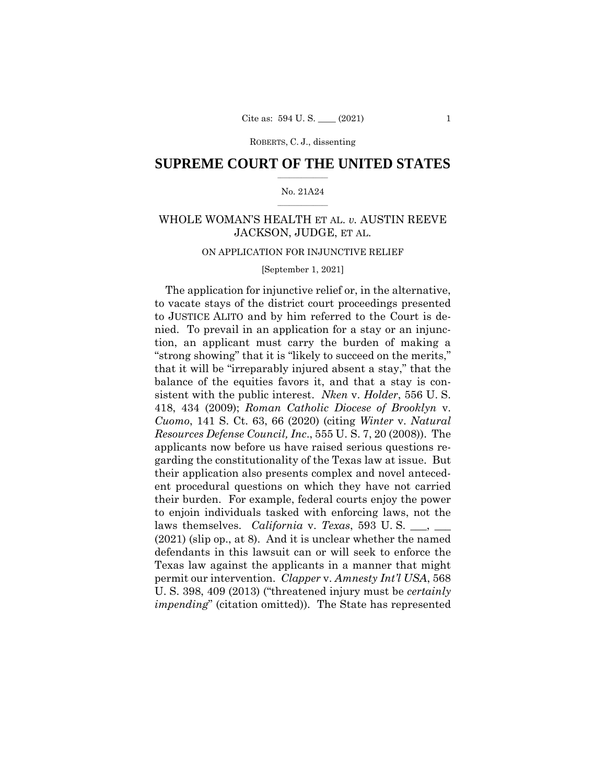ROBERTS, C. J., dissenting

## $\frac{1}{2}$  ,  $\frac{1}{2}$  ,  $\frac{1}{2}$  ,  $\frac{1}{2}$  ,  $\frac{1}{2}$  ,  $\frac{1}{2}$  ,  $\frac{1}{2}$ **SUPREME COURT OF THE UNITED STATES**

#### $\frac{1}{2}$  ,  $\frac{1}{2}$  ,  $\frac{1}{2}$  ,  $\frac{1}{2}$  ,  $\frac{1}{2}$  ,  $\frac{1}{2}$ No. 21A24

## WHOLE WOMAN'S HEALTH ET AL. *v.* AUSTIN REEVE JACKSON, JUDGE, ET AL.

## ON APPLICATION FOR INJUNCTIVE RELIEF

## [September 1, 2021]

The application for injunctive relief or, in the alternative, to vacate stays of the district court proceedings presented to JUSTICE ALITO and by him referred to the Court is denied. To prevail in an application for a stay or an injunction, an applicant must carry the burden of making a "strong showing" that it is "likely to succeed on the merits," that it will be "irreparably injured absent a stay," that the balance of the equities favors it, and that a stay is consistent with the public interest. *Nken* v. *Holder*, 556 U. S. 418, 434 (2009); *Roman Catholic Diocese of Brooklyn* v. *Cuomo*, 141 S. Ct. 63, 66 (2020) (citing *Winter* v. *Natural Resources Defense Council, Inc*., 555 U. S. 7, 20 (2008)). The applicants now before us have raised serious questions regarding the constitutionality of the Texas law at issue. But their application also presents complex and novel antecedent procedural questions on which they have not carried their burden. For example, federal courts enjoy the power to enjoin individuals tasked with enforcing laws, not the laws themselves. *California* v. *Texas*, 593 U.S. \_\_, \_\_ (2021) (slip op., at 8). And it is unclear whether the named defendants in this lawsuit can or will seek to enforce the Texas law against the applicants in a manner that might permit our intervention. *Clapper* v. *Amnesty Int'l USA*, 568 U. S. 398, 409 (2013) ("threatened injury must be *certainly impending*" (citation omitted)). The State has represented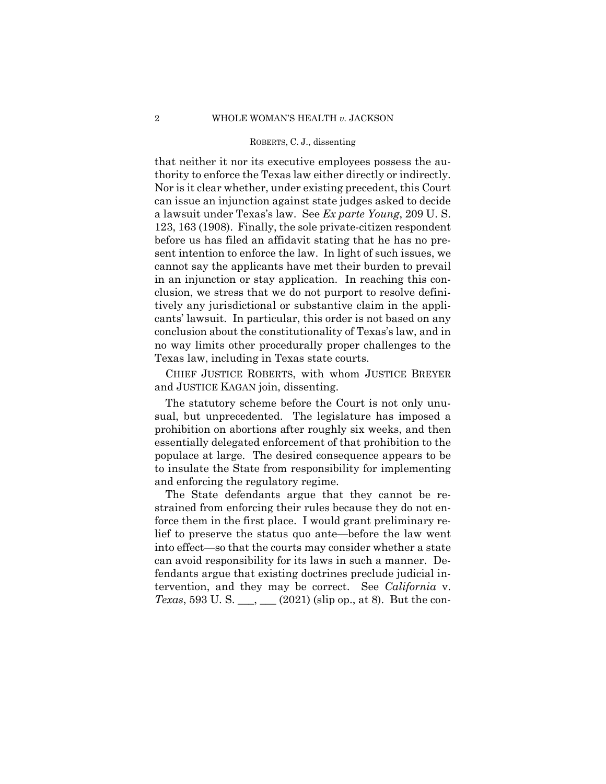#### ROBERTS, C. J., dissenting

that neither it nor its executive employees possess the authority to enforce the Texas law either directly or indirectly. Nor is it clear whether, under existing precedent, this Court can issue an injunction against state judges asked to decide a lawsuit under Texas's law. See *Ex parte Young*, 209 U. S. 123, 163 (1908). Finally, the sole private-citizen respondent before us has filed an affidavit stating that he has no present intention to enforce the law. In light of such issues, we cannot say the applicants have met their burden to prevail in an injunction or stay application. In reaching this conclusion, we stress that we do not purport to resolve definitively any jurisdictional or substantive claim in the applicants' lawsuit. In particular, this order is not based on any conclusion about the constitutionality of Texas's law, and in no way limits other procedurally proper challenges to the Texas law, including in Texas state courts.

 CHIEF JUSTICE ROBERTS, with whom JUSTICE BREYER and JUSTICE KAGAN join, dissenting.

 The statutory scheme before the Court is not only unusual, but unprecedented. The legislature has imposed a prohibition on abortions after roughly six weeks, and then essentially delegated enforcement of that prohibition to the populace at large. The desired consequence appears to be to insulate the State from responsibility for implementing and enforcing the regulatory regime.

 The State defendants argue that they cannot be restrained from enforcing their rules because they do not enforce them in the first place. I would grant preliminary relief to preserve the status quo ante—before the law went into effect—so that the courts may consider whether a state can avoid responsibility for its laws in such a manner. Defendants argue that existing doctrines preclude judicial intervention, and they may be correct. See *California* v. *Texas*, 593 U. S. \_\_\_, \_\_\_ (2021) (slip op., at 8). But the con-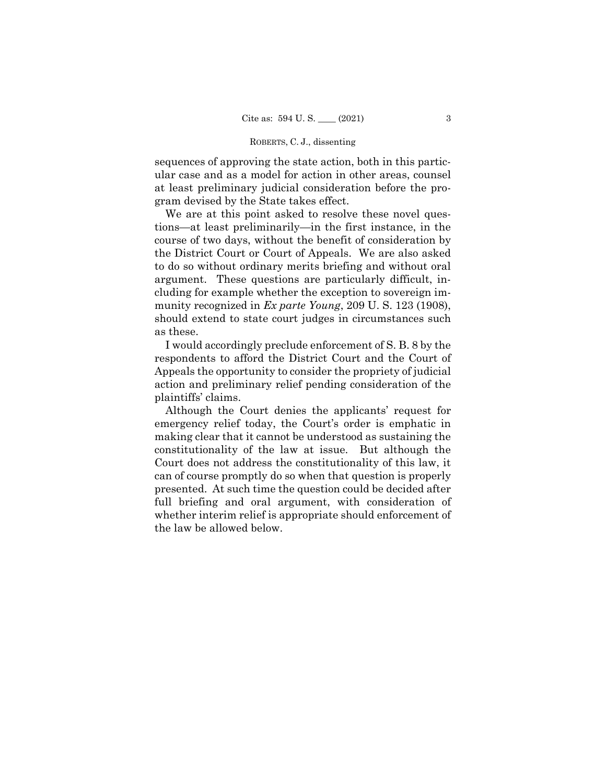#### ROBERTS, C. J., dissenting

sequences of approving the state action, both in this particular case and as a model for action in other areas, counsel at least preliminary judicial consideration before the program devised by the State takes effect.

We are at this point asked to resolve these novel questions—at least preliminarily—in the first instance, in the course of two days, without the benefit of consideration by the District Court or Court of Appeals. We are also asked to do so without ordinary merits briefing and without oral argument. These questions are particularly difficult, including for example whether the exception to sovereign immunity recognized in *Ex parte Young*, 209 U. S. 123 (1908), should extend to state court judges in circumstances such as these.

I would accordingly preclude enforcement of S. B. 8 by the respondents to afford the District Court and the Court of Appeals the opportunity to consider the propriety of judicial action and preliminary relief pending consideration of the plaintiffs' claims.

Although the Court denies the applicants' request for emergency relief today, the Court's order is emphatic in making clear that it cannot be understood as sustaining the constitutionality of the law at issue. But although the Court does not address the constitutionality of this law, it can of course promptly do so when that question is properly presented. At such time the question could be decided after full briefing and oral argument, with consideration of whether interim relief is appropriate should enforcement of the law be allowed below.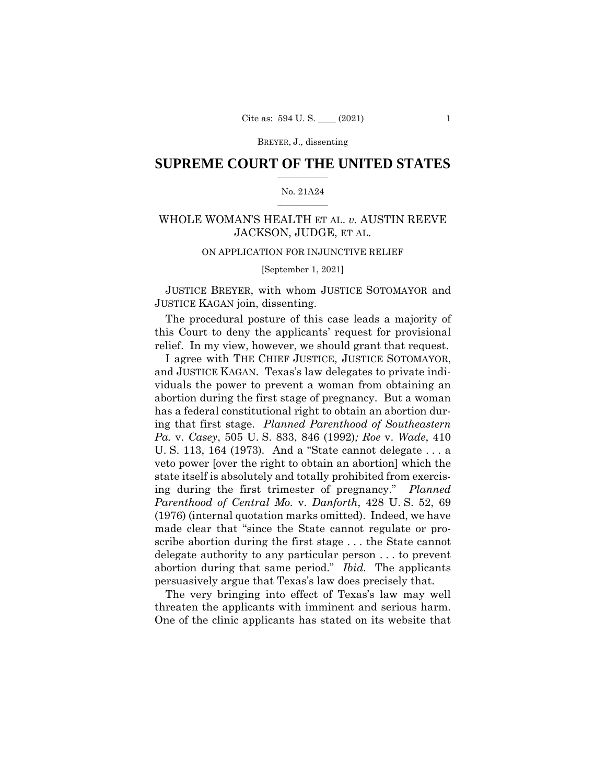BREYER, J., dissenting

## $\frac{1}{2}$  ,  $\frac{1}{2}$  ,  $\frac{1}{2}$  ,  $\frac{1}{2}$  ,  $\frac{1}{2}$  ,  $\frac{1}{2}$  ,  $\frac{1}{2}$ **SUPREME COURT OF THE UNITED STATES**

#### $\frac{1}{2}$  ,  $\frac{1}{2}$  ,  $\frac{1}{2}$  ,  $\frac{1}{2}$  ,  $\frac{1}{2}$  ,  $\frac{1}{2}$ No. 21A24

## WHOLE WOMAN'S HEALTH ET AL. *v.* AUSTIN REEVE JACKSON, JUDGE, ET AL.

## ON APPLICATION FOR INJUNCTIVE RELIEF

### [September 1, 2021]

 JUSTICE BREYER, with whom JUSTICE SOTOMAYOR and JUSTICE KAGAN join, dissenting.

The procedural posture of this case leads a majority of this Court to deny the applicants' request for provisional relief. In my view, however, we should grant that request.

 abortion during that same period." *Ibid.* The applicants I agree with THE CHIEF JUSTICE, JUSTICE SOTOMAYOR, and JUSTICE KAGAN. Texas's law delegates to private individuals the power to prevent a woman from obtaining an abortion during the first stage of pregnancy. But a woman has a federal constitutional right to obtain an abortion during that first stage. *Planned Parenthood of Southeastern Pa.* v. *Casey*, 505 U. S. 833, 846 (1992)*; Roe* v. *Wade*, 410 U. S. 113, 164 (1973)*.* And a "State cannot delegate . . . a veto power [over the right to obtain an abortion] which the state itself is absolutely and totally prohibited from exercising during the first trimester of pregnancy." *Planned Parenthood of Central Mo.* v. *Danforth*, 428 U. S. 52, 69 (1976) (internal quotation marks omitted). Indeed, we have made clear that "since the State cannot regulate or proscribe abortion during the first stage . . . the State cannot delegate authority to any particular person . . . to prevent persuasively argue that Texas's law does precisely that.

 threaten the applicants with imminent and serious harm. The very bringing into effect of Texas's law may well One of the clinic applicants has stated on its website that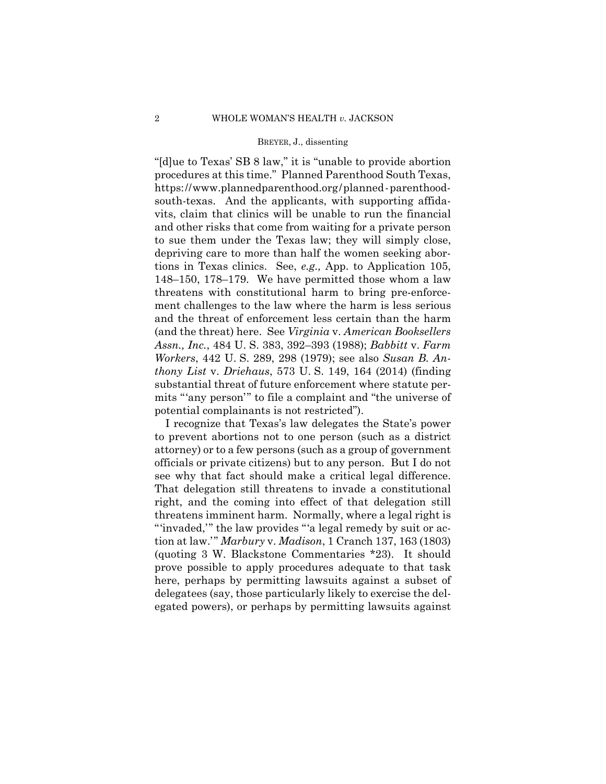#### BREYER, J., dissenting

 https://www.plannedparenthood.org/planned-parenthood-"[d]ue to Texas' SB 8 law," it is "unable to provide abortion procedures at this time." Planned Parenthood South Texas, south-texas. And the applicants, with supporting affidavits, claim that clinics will be unable to run the financial and other risks that come from waiting for a private person to sue them under the Texas law; they will simply close, depriving care to more than half the women seeking abortions in Texas clinics. See, *e.g.,* App. to Application 105, 148–150, 178–179. We have permitted those whom a law threatens with constitutional harm to bring pre-enforcement challenges to the law where the harm is less serious and the threat of enforcement less certain than the harm (and the threat) here. See *Virginia* v. *American Booksellers Assn., Inc.*, 484 U. S. 383, 392–393 (1988); *Babbitt* v. *Farm Workers*, 442 U. S. 289, 298 (1979); see also *Susan B. Anthony List* v. *Driehaus*, 573 U. S. 149, 164 (2014) (finding substantial threat of future enforcement where statute permits "'any person'" to file a complaint and "the universe of potential complainants is not restricted").

 see why that fact should make a critical legal difference. I recognize that Texas's law delegates the State's power to prevent abortions not to one person (such as a district attorney) or to a few persons (such as a group of government officials or private citizens) but to any person. But I do not That delegation still threatens to invade a constitutional right, and the coming into effect of that delegation still threatens imminent harm. Normally, where a legal right is "'invaded," the law provides "'a legal remedy by suit or action at law.'" *Marbury* v. *Madison*, 1 Cranch 137, 163 (1803) (quoting 3 W. Blackstone Commentaries \*23). It should prove possible to apply procedures adequate to that task here, perhaps by permitting lawsuits against a subset of delegatees (say, those particularly likely to exercise the delegated powers), or perhaps by permitting lawsuits against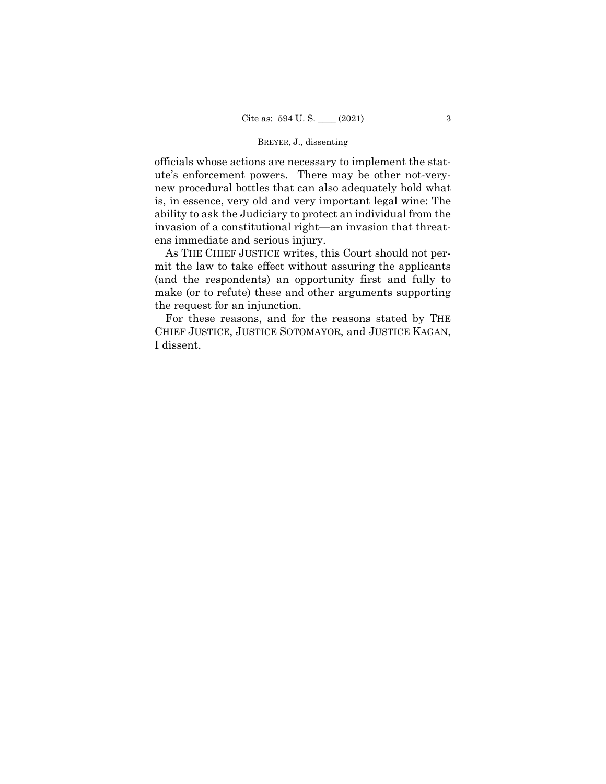## BREYER, J., dissenting

officials whose actions are necessary to implement the statute's enforcement powers. There may be other not-verynew procedural bottles that can also adequately hold what is, in essence, very old and very important legal wine: The ability to ask the Judiciary to protect an individual from the invasion of a constitutional right—an invasion that threatens immediate and serious injury.

 As THE CHIEF JUSTICE writes, this Court should not permit the law to take effect without assuring the applicants (and the respondents) an opportunity first and fully to make (or to refute) these and other arguments supporting the request for an injunction.

For these reasons, and for the reasons stated by THE CHIEF JUSTICE, JUSTICE SOTOMAYOR, and JUSTICE KAGAN, I dissent.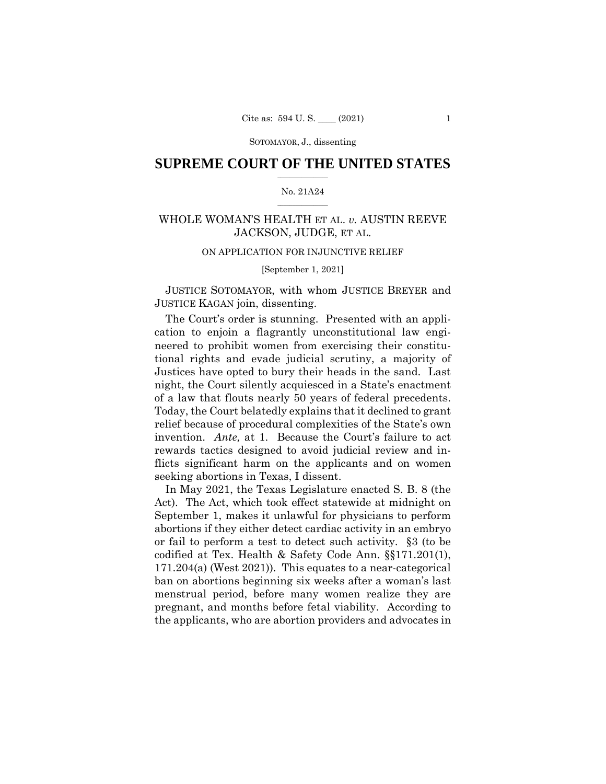## $\frac{1}{2}$  ,  $\frac{1}{2}$  ,  $\frac{1}{2}$  ,  $\frac{1}{2}$  ,  $\frac{1}{2}$  ,  $\frac{1}{2}$  ,  $\frac{1}{2}$ **SUPREME COURT OF THE UNITED STATES**

#### $\frac{1}{2}$  ,  $\frac{1}{2}$  ,  $\frac{1}{2}$  ,  $\frac{1}{2}$  ,  $\frac{1}{2}$  ,  $\frac{1}{2}$ No. 21A24

## WHOLE WOMAN'S HEALTH ET AL. *v.* AUSTIN REEVE JACKSON, JUDGE, ET AL.

## ON APPLICATION FOR INJUNCTIVE RELIEF

### [September 1, 2021]

 JUSTICE SOTOMAYOR, with whom JUSTICE BREYER and JUSTICE KAGAN join, dissenting.

The Court's order is stunning. Presented with an application to enjoin a flagrantly unconstitutional law engineered to prohibit women from exercising their constitutional rights and evade judicial scrutiny, a majority of Justices have opted to bury their heads in the sand. Last night, the Court silently acquiesced in a State's enactment of a law that flouts nearly 50 years of federal precedents. Today, the Court belatedly explains that it declined to grant relief because of procedural complexities of the State's own invention. *Ante,* at 1. Because the Court's failure to act rewards tactics designed to avoid judicial review and inflicts significant harm on the applicants and on women seeking abortions in Texas, I dissent.

In May 2021, the Texas Legislature enacted S. B. 8 (the Act). The Act, which took effect statewide at midnight on September 1, makes it unlawful for physicians to perform abortions if they either detect cardiac activity in an embryo or fail to perform a test to detect such activity. §3 (to be codified at Tex. Health & Safety Code Ann. §§171.201(1), 171.204(a) (West 2021)). This equates to a near-categorical ban on abortions beginning six weeks after a woman's last menstrual period, before many women realize they are pregnant, and months before fetal viability. According to the applicants, who are abortion providers and advocates in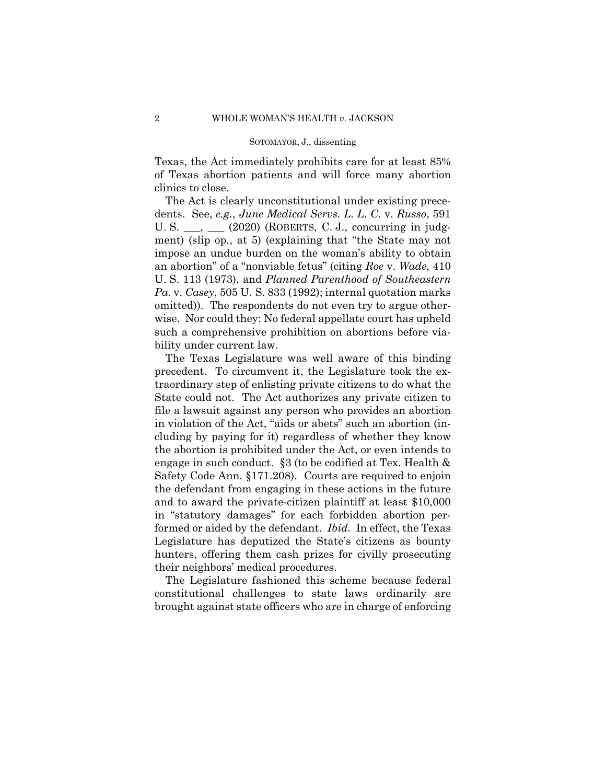Texas, the Act immediately prohibits care for at least 85% of Texas abortion patients and will force many abortion clinics to close.

 dents. See, *e.g.*, *June Medical Servs. L. L. C.* v. *Russo*, 591 The Act is clearly unconstitutional under existing prece-U. S.  $\_\_\_\$  $(2020)$  (ROBERTS, C. J., concurring in judgment) (slip op., at 5) (explaining that "the State may not impose an undue burden on the woman's ability to obtain an abortion" of a "nonviable fetus" (citing *Roe* v. *Wade*, 410 U. S. 113 (1973), and *Planned Parenthood of Southeastern Pa.* v. *Casey*, 505 U. S. 833 (1992); internal quotation marks omitted)). The respondents do not even try to argue otherwise. Nor could they: No federal appellate court has upheld such a comprehensive prohibition on abortions before viability under current law.

The Texas Legislature was well aware of this binding precedent. To circumvent it, the Legislature took the extraordinary step of enlisting private citizens to do what the State could not. The Act authorizes any private citizen to file a lawsuit against any person who provides an abortion in violation of the Act, "aids or abets" such an abortion (including by paying for it) regardless of whether they know the abortion is prohibited under the Act, or even intends to engage in such conduct. §3 (to be codified at Tex. Health & Safety Code Ann. §171.208). Courts are required to enjoin the defendant from engaging in these actions in the future and to award the private-citizen plaintiff at least \$10,000 in "statutory damages" for each forbidden abortion performed or aided by the defendant. *Ibid.* In effect, the Texas Legislature has deputized the State's citizens as bounty hunters, offering them cash prizes for civilly prosecuting their neighbors' medical procedures.

The Legislature fashioned this scheme because federal constitutional challenges to state laws ordinarily are brought against state officers who are in charge of enforcing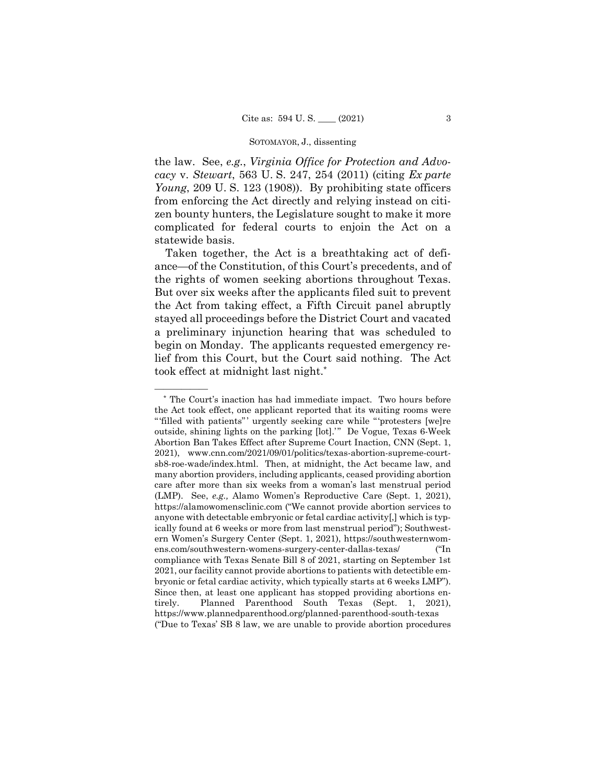the law. See, *e.g.*, *Virginia Office for Protection and Advocacy* v. *Stewart*, 563 U. S. 247, 254 (2011) (citing *Ex parte Young*, 209 U. S. 123 (1908)). By prohibiting state officers from enforcing the Act directly and relying instead on citizen bounty hunters, the Legislature sought to make it more complicated for federal courts to enjoin the Act on a statewide basis.

Taken together, the Act is a breathtaking act of defiance—of the Constitution, of this Court's precedents, and of the rights of women seeking abortions throughout Texas. But over six weeks after the applicants filed suit to prevent the Act from taking effect, a Fifth Circuit panel abruptly stayed all proceedings before the District Court and vacated a preliminary injunction hearing that was scheduled to begin on Monday. The applicants requested emergency relief from this Court, but the Court said nothing. The Act took effect at midnight last night.\*

<sup>\*</sup> The Court's inaction has had immediate impact. Two hours before the Act took effect, one applicant reported that its waiting rooms were " 'filled with patients" ' urgently seeking care while " 'protesters [we]re outside, shining lights on the parking [lot].'" De Vogue, Texas 6-Week Abortion Ban Takes Effect after Supreme Court Inaction, CNN (Sept. 1, 2021), www.cnn.com/2021/09/01/politics/texas-abortion-supreme-courtsb8-roe-wade/index.html. Then, at midnight, the Act became law, and many abortion providers, including applicants, ceased providing abortion care after more than six weeks from a woman's last menstrual period (LMP). See, *e.g.,* Alamo Women's Reproductive Care (Sept. 1, 2021), https://alamowomensclinic.com ("We cannot provide abortion services to anyone with detectable embryonic or fetal cardiac activity[,] which is typically found at 6 weeks or more from last menstrual period"); Southwestern Women's Surgery Center (Sept. 1, 2021), https://southwesternwomens.com/southwestern-womens-surgery-center-dallas-texas/ ("In compliance with Texas Senate Bill 8 of 2021, starting on September 1st 2021, our facility cannot provide abortions to patients with detectible embryonic or fetal cardiac activity, which typically starts at 6 weeks LMP"). Since then, at least one applicant has stopped providing abortions entirely. Planned Parenthood South Texas (Sept. 1, 2021), https://www.plannedparenthood.org/planned-parenthood-south-texas ("Due to Texas' SB 8 law, we are unable to provide abortion procedures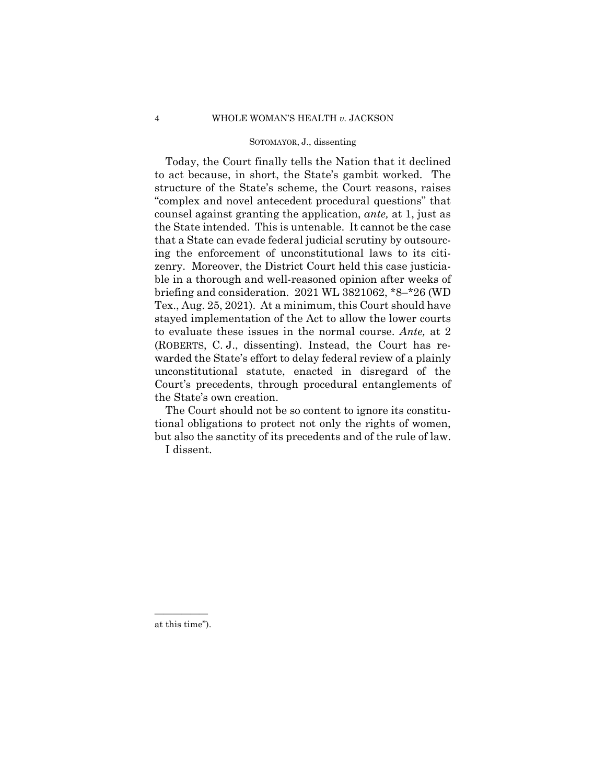(ROBERTS, C. J., dissenting). Instead, the Court has re-Today, the Court finally tells the Nation that it declined to act because, in short, the State's gambit worked. The structure of the State's scheme, the Court reasons, raises "complex and novel antecedent procedural questions" that counsel against granting the application, *ante,* at 1, just as the State intended. This is untenable. It cannot be the case that a State can evade federal judicial scrutiny by outsourcing the enforcement of unconstitutional laws to its citizenry. Moreover, the District Court held this case justiciable in a thorough and well-reasoned opinion after weeks of briefing and consideration. 2021 WL 3821062, \*8–\*26 (WD Tex., Aug. 25, 2021). At a minimum, this Court should have stayed implementation of the Act to allow the lower courts to evaluate these issues in the normal course. *Ante,* at 2 warded the State's effort to delay federal review of a plainly unconstitutional statute, enacted in disregard of the Court's precedents, through procedural entanglements of the State's own creation.

The Court should not be so content to ignore its constitutional obligations to protect not only the rights of women, but also the sanctity of its precedents and of the rule of law. I dissent.

————— at this time").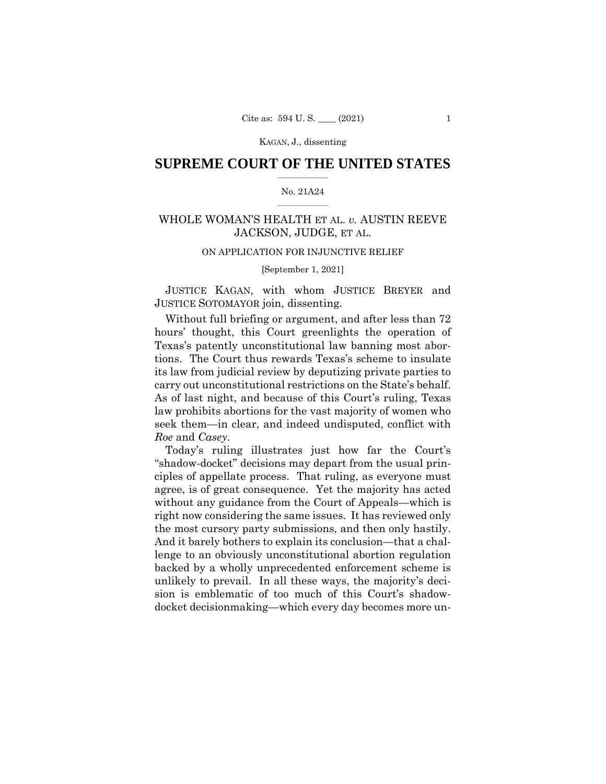KAGAN, J., dissenting

## $\frac{1}{2}$  , where  $\frac{1}{2}$ **SUPREME COURT OF THE UNITED STATES**

#### $\frac{1}{2}$  ,  $\frac{1}{2}$  ,  $\frac{1}{2}$  ,  $\frac{1}{2}$  ,  $\frac{1}{2}$  ,  $\frac{1}{2}$ No. 21A24

## WHOLE WOMAN'S HEALTH ET AL. *v.* AUSTIN REEVE JACKSON, JUDGE, ET AL.

## ON APPLICATION FOR INJUNCTIVE RELIEF

### [September 1, 2021]

 JUSTICE KAGAN, with whom JUSTICE BREYER and JUSTICE SOTOMAYOR join, dissenting.

Without full briefing or argument, and after less than 72 hours' thought, this Court greenlights the operation of Texas's patently unconstitutional law banning most abortions. The Court thus rewards Texas's scheme to insulate its law from judicial review by deputizing private parties to carry out unconstitutional restrictions on the State's behalf. As of last night, and because of this Court's ruling, Texas law prohibits abortions for the vast majority of women who seek them—in clear, and indeed undisputed, conflict with *Roe* and *Casey*.

Today's ruling illustrates just how far the Court's "shadow-docket" decisions may depart from the usual principles of appellate process. That ruling, as everyone must agree, is of great consequence. Yet the majority has acted without any guidance from the Court of Appeals—which is right now considering the same issues. It has reviewed only the most cursory party submissions, and then only hastily. And it barely bothers to explain its conclusion—that a challenge to an obviously unconstitutional abortion regulation backed by a wholly unprecedented enforcement scheme is unlikely to prevail. In all these ways, the majority's decision is emblematic of too much of this Court's shadowdocket decisionmaking—which every day becomes more un-